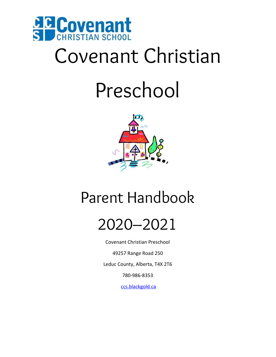

# Covenant Christian

## Preschool



### Parent Handbook



Covenant Christian Preschool

49257 Range Road 250

Leduc County, Alberta, T4X 2T6

780-986-8353

[ccs.blackgold.ca](http://www.covenantchristian.ca/)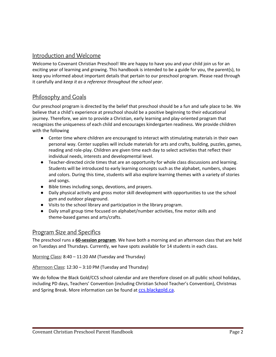#### Introduction and Welcome

Welcome to Covenant Christian Preschool! We are happy to have you and your child join us for an exciting year of learning and growing. This handbook is intended to be a guide for you, the parent(s), to keep you informed about important details that pertain to our preschool program. Please read through it carefully and *keep it as a reference throughout the school year*.

#### Philosophy and Goals

Our preschool program is directed by the belief that preschool should be a fun and safe place to be. We believe that a child's experience at preschool should be a positive beginning to their educational journey. Therefore, we aim to provide a Christian, early learning and play-oriented program that recognizes the uniqueness of each child and encourages kindergarten readiness. We provide children with the following

- Center time where children are encouraged to interact with stimulating materials in their own personal way. Center supplies will include materials for arts and crafts, building, puzzles, games, reading and role-play. Children are given time each day to select activities that reflect their individual needs, interests and developmental level.
- Teacher-directed circle times that are an opportunity for whole class discussions and learning. Students will be introduced to early learning concepts such as the alphabet, numbers, shapes and colors. During this time, students will also explore learning themes with a variety of stories and songs.
- Bible times including songs, devotions, and prayers.
- Daily physical activity and gross motor skill development with opportunities to use the school gym and outdoor playground.
- Visits to the school library and participation in the library program.
- Daily small group time focused on alphabet/number activities, fine motor skills and theme-based games and arts/crafts.

#### Program Size and Specifics

The preschool runs a **60-session program**. We have both a morning and an afternoon class that are held on Tuesdays and Thursdays. Currently, we have spots available for 14 students in each class.

Morning Class: 8:40 – 11:20 AM (Tuesday and Thursday)

Afternoon Class: 12:30 – 3:10 PM (Tuesday and Thursday)

We do follow the Black Gold/CCS school calendar and are therefore closed on all public school holidays, including PD days, Teachers' Convention (including Christian School Teacher's Convention), Christmas and Spring Break. More information can be found at [ccs.blackgold.ca.](http://www.covenantchristian.ca/)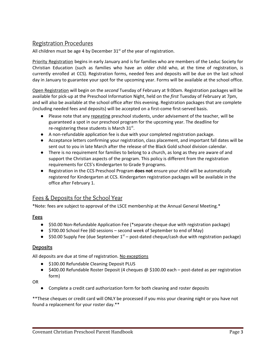#### Registration Procedures

All children must be age 4 by December  $31<sup>st</sup>$  of the year of registration.

Priority Registration begins in early January and is for families who are members of the Leduc Society for Christian Education (such as families who have an older child who, at the time of registration, is currently enrolled at CCS). Registration forms, needed fees and deposits will be due on the last school day in January to guarantee your spot for the upcoming year. Forms will be available at the school office.

Open Registration will begin on the *second* Tuesday of February at 9:00am. Registration packages will be available for pick-up at the Preschool Information Night, held on the *first* Tuesday of February at 7pm, and will also be available at the school office after this evening. Registration packages that are complete (including needed fees and deposits) will be accepted on a first-come first-served basis.

- Please note that any repeating preschool students, under advisement of the teacher, will be guaranteed a spot in our preschool program for the upcoming year. The deadline for re-registering these students is March  $31^{st}$ .
- A non-refundable application fee is due with your completed registration package.
- Acceptance letters confirming your registration, class placement, and important fall dates will be sent out to you in late March after the release of the Black Gold school division calendar.
- There is no requirement for families to belong to a church, as long as they are aware of and support the Christian aspects of the program. This policy is different from the registration requirements for CCS's Kindergarten to Grade 9 programs.
- Registration in the CCS Preschool Program **does not** ensure your child will be automatically registered for Kindergarten at CCS. Kindergarten registration packages will be available in the office after February 1.

#### Fees & Deposits for the School Year

\*Note: fees are subject to approval of the LSCE membership at the Annual General Meeting.\*

#### **Fees**

- \$50.00 Non-Refundable Application Fee (\*separate cheque due with registration package)
- \$700.00 School Fee (60 sessions second week of September to end of May)
- $\bullet$  \$50.00 Supply Fee (due September 1<sup>st</sup> post-dated cheque/cash due with registration package)

#### **Deposits**

All deposits are due at time of registration. No exceptions

- \$100.00 Refundable Cleaning Deposit PLUS
- \$400.00 Refundable Roster Deposit (4 cheques @ \$100.00 each post-dated as per registration form)

OR

● Complete a credit card authorization form for both cleaning and roster deposits

\*\*These cheques or credit card will ONLY be processed if you miss your cleaning night or you have not found a replacement for your roster day.\*\*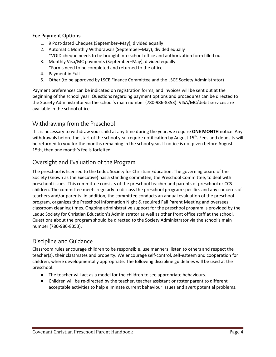#### **Fee Payment Options**

- 1. 9 Post-dated Cheques (September–May), divided equally
- 2. Automatic Monthly Withdrawals (September–May), divided equally \*VOID cheque needs to be brought into school office and authorization form filled out
- 3. Monthly Visa/MC payments (September–May), divided equally. \*Forms need to be completed and returned to the office.
- 4. Payment in Full
- 5. Other (to be approved by LSCE Finance Committee and the LSCE Society Administrator)

Payment preferences can be indicated on registration forms, and invoices will be sent out at the beginning of the school year. Questions regarding payment options and procedures can be directed to the Society Administrator via the school's main number (780-986-8353). VISA/MC/debit services are available in the school office.

#### Withdrawing from the Preschool

If it is necessary to withdraw your child at any time during the year, we require **ONE MONTH** notice. Any withdrawals before the start of the school year require notification by August 15<sup>th</sup>. Fees and deposits will be returned to you for the months remaining in the school year. If notice is not given before August 15th, then one month's fee is forfeited.

#### Oversight and Evaluation of the Program

The preschool is licensed to the Leduc Society for Christian Education. The governing board of the Society (known as the Executive) has a standing committee, the Preschool Committee, to deal with preschool issues. This committee consists of the preschool teacher and parents of preschool or CCS children. The committee meets regularly to discuss the preschool program specifics and any concerns of teachers and/or parents. In addition, the committee conducts an annual evaluation of the preschool program, organizes the Preschool Information Night & required Fall Parent Meeting and oversees classroom cleaning times. Ongoing administrative support for the preschool program is provided by the Leduc Society for Christian Education's Administrator as well as other front office staff at the school. Questions about the program should be directed to the Society Administrator via the school's main number (780-986-8353).

#### Discipline and Guidance

Classroom rules encourage children to be responsible, use manners, listen to others and respect the teacher(s), their classmates and property. We encourage self-control, self-esteem and cooperation for children, where developmentally appropriate. The following discipline guidelines will be used at the preschool:

- The teacher will act as a model for the children to see appropriate behaviours.
- Children will be re-directed by the teacher, teacher assistant or roster parent to different acceptable activities to help eliminate current behaviour issues and avert potential problems.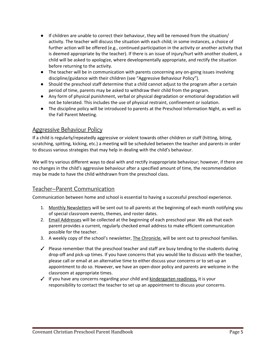- If children are unable to correct their behaviour, they will be removed from the situation/ activity. The teacher will discuss the situation with each child; in some instances, a choice of further action will be offered (e.g., continued participation in the activity or another activity that is deemed appropriate by the teacher). If there is an issue of injury/hurt with another student, a child will be asked to apologize, where developmentally appropriate, and rectify the situation before returning to the activity.
- The teacher will be in communication with parents concerning any on-going issues involving discipline/guidance with their children (see "Aggressive Behaviour Policy").
- Should the preschool staff determine that a child cannot adjust to the program after a certain period of time, parents may be asked to withdraw their child from the program.
- Any form of physical punishment, verbal or physical degradation or emotional degradation will not be tolerated. This includes the use of physical restraint, confinement or isolation.
- The discipline policy will be introduced to parents at the Preschool Information Night, as well as the Fall Parent Meeting.

#### Aggressive Behaviour Policy

If a child is regularly/repeatedly aggressive or violent towards other children or staff (hitting, biting, scratching, spitting, kicking, etc.) a meeting will be scheduled between the teacher and parents in order to discuss various strategies that may help in dealing with the child's behaviour.

We will try various different ways to deal with and rectify inappropriate behaviour; however, if there are no changes in the child's aggressive behaviour after a specified amount of time, the recommendation may be made to have the child withdrawn from the preschool class.

#### Teacher–Parent Communication

Communication between home and school is essential to having a successful preschool experience.

- 1. Monthly Newsletters will be sent out to all parents at the beginning of each month notifying you of special classroom events, themes, and roster dates.
- 2. Email Addresses will be collected at the beginning of each preschool year. We ask that each parent provides a current, regularly checked email address to make efficient communication possible for the teacher.
- 3. A weekly copy of the school's newsletter, The Chronicle, will be sent out to preschool families.
- $\checkmark$  Please remember that the preschool teacher and staff are busy tending to the students during drop-off and pick-up times. If you have concerns that you would like to discuss with the teacher, please call or email at an alternative time to either discuss your concerns or to set-up an appointment to do so. However, we have an open-door policy and parents are welcome in the classroom at appropriate times.
- $\checkmark$  If you have any concerns regarding your child and kindergarten readiness, it is your responsibility to contact the teacher to set up an appointment to discuss your concerns.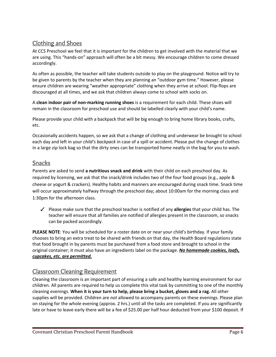#### Clothing and Shoes

At CCS Preschool we feel that it is important for the children to get involved with the material that we are using. This "hands-on" approach will often be a bit messy. We encourage children to come dressed accordingly.

As often as possible, the teacher will take students outside to play on the playground. Notice will try to be given to parents by the teacher when they are planning an "outdoor gym time." However, please ensure children are wearing "weather appropriate" clothing when they arrive at school. Flip-flops are discouraged at all times, and we ask that children always come to school with socks on.

A **clean indoor pair of non-marking running shoes** is a requirement for each child. These shoes will remain in the classroom for preschool use and should be labelled clearly with your child's name.

Please provide your child with a backpack that will be big enough to bring home library books, crafts, etc.

Occasionally accidents happen, so we ask that a change of clothing and underwear be brought to school each day and left in your *child's backpack* in case of a spill or accident. Please put the change of clothes in a large zip lock bag so that the dirty ones can be transported home neatly in the bag for you to wash.

#### Snacks

Parents are asked to send **a nutritious snack and drink** with their child on each preschool day. As required by licensing, we ask that the snack/drink includes two of the four food groups (e.g., apple & cheese or yogurt & crackers). Healthy habits and manners are encouraged during snack time. Snack time will occur approximately halfway through the preschool day; about 10:00am for the morning class and 1:30pm for the afternoon class.

✓ Please make sure that the preschool teacher is notified of any **allergies** that your child has. The teacher will ensure that all families are notified of allergies present in the classroom, so snacks can be packed accordingly.

**PLEASE NOTE**: You will be scheduled for a roster date on or near your child's birthday. If your family chooses to bring an extra treat to be shared with friends on that day, the Health Board regulations state that food brought in by parents must be purchased from a food store and brought to school in the original container; it must also have an ingredients label on the package. *No homemade cookies, loafs, cupcakes, etc. are permitted.*

#### Classroom Cleaning Requirement

Cleaning the classroom is an important part of ensuring a safe and healthy learning environment for our children. All parents are required to help us complete this vital task by committing to one of the monthly cleaning evenings. **When it is your turn to help, please bring a bucket, gloves and a rag.** All other supplies will be provided. Children are *not* allowed to accompany parents on these evenings. Please plan on staying for the whole evening (approx. 2 hrs.) until all the tasks are completed. If you are significantly late or have to leave early there will be a fee of \$25.00 per half hour deducted from your \$100 deposit. If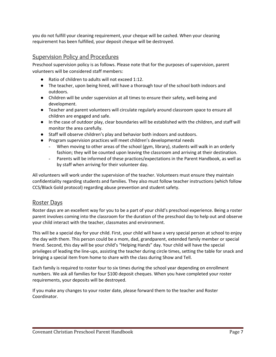you do not fulfill your cleaning requirement, your cheque will be cashed. When your cleaning requirement has been fulfilled, your deposit cheque will be destroyed.

#### Supervision Policy and Procedures

Preschool supervision policy is as follows. Please note that for the purposes of supervision, parent volunteers will be considered staff members:

- Ratio of children to adults will not exceed 1:12.
- The teacher, upon being hired, will have a thorough tour of the school both indoors and outdoors.
- Children will be under supervision at all times to ensure their safety, well-being and development.
- Teacher and parent volunteers will circulate regularly around classroom space to ensure all children are engaged and safe.
- In the case of outdoor play, clear boundaries will be established with the children, and staff will monitor the area carefully.
- Staff will observe children's play and behavior both indoors and outdoors.
- Program supervision practices will meet children's developmental needs
	- When moving to other areas of the school (gym, library), students will walk in an orderly fashion; they will be counted upon leaving the classroom and arriving at their destination.
	- Parents will be informed of these practices/expectations in the Parent Handbook, as well as by staff when arriving for their volunteer day.

All volunteers will work under the supervision of the teacher. Volunteers must ensure they maintain confidentiality regarding students and families. They also must follow teacher instructions (which follow CCS/Black Gold protocol) regarding abuse prevention and student safety.

#### Roster Days

Roster days are an excellent way for you to be a part of your child's preschool experience. Being a roster parent involves coming into the classroom for the duration of the preschool day to help out and observe your child interact with the teacher, classmates and environment.

This will be a special day for your child. First, your child will have a very special person at school to enjoy the day with them. This person could be a mom, dad, grandparent, extended family member or special friend. Second, this day will be your child's "Helping Hands" day. Your child will have the special privileges of leading the line-ups, assisting the teacher during circle times, setting the table for snack and bringing a special item from home to share with the class during Show and Tell.

Each family is required to roster four to six times during the school year depending on enrollment numbers. We ask all families for four \$100 deposit cheques. When you have completed your roster requirements, your deposits will be destroyed.

If you make any changes to your roster date, please forward them to the teacher and Roster Coordinator.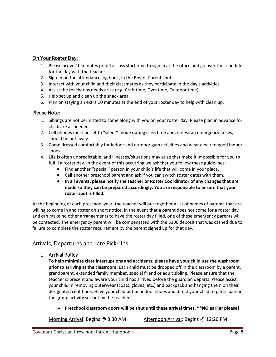#### **On Your Roster Day:**

- 1. Please arrive 10 minutes prior to class start time to sign in at the office and go over the schedule for the day with the teacher.
- 2. Sign-in on the attendance log book, in the Roster Parent spot.
- 3. Interact with your child and their classmates as they participate in the day's activities.
- 4. Assist the teacher as needs arise (e.g. Craft time, Gym time, Outdoor time).
- 5. Help set up and clean up the snack area.
- 6. Plan on staying an extra 10 minutes at the end of your roster day to help with clean up.

#### **Please Note:**

- 1. Siblings are not permitted to come along with you on your roster day. Please plan in advance for childcare as needed.
- 2. Cell phones must be set to "silent" mode during class time and, unless an emergency arises, should be put away.
- 3. Come dressed comfortably for indoor and outdoor gym activities and wear a pair of good indoor shoes.
- 4. Life is often unpredictable, and illnesses/situations may arise that make it impossible for you to fulfill a roster day. In the event of this occurring we ask that you follow these guidelines:
	- Find another "special" person in your child's life that will come in your place.
	- Call another preschool parent and ask if you can switch roster dates with them.
	- **In all events, please notify the teacher or Roster Coordinator of any changes that are made so they can be prepared accordingly. You are responsible to ensure that your roster spot is filled.**

At the beginning of each preschool year, the teacher will put together a list of names of parents that are willing to come in and roster on short notice. In the event that a parent does not come for a roster day and can make no other arrangements to have the roster day filled, one of these emergency parents will be contacted. The emergency parent will be compensated with the \$100 deposit that was cashed due to failure to complete the roster requirement by the parent signed up for that day.

#### Arrivals, Departures and Late Pick-Ups

**1. Arrival Policy**

**To help minimize class interruptions and accidents, please have your child use the washroom prior to arriving at the classroom.** Each child must be dropped off in the classroom by a parent, grandparent, extended family member, special friend or adult sibling. Please ensure that the teacher is present and aware your child has arrived before the guardian departs. Please assist your child in removing outerwear (coats, gloves, etc.) and backpack and hanging them on their designated coat hook. Have your child put on indoor shoes and direct your child to participate in the group activity set out by the teacher.

➢ **Preschool classroom doors will be shut until these arrival times. \*\*NO earlier please!**

Morning Arrival: Begins @ 8:30 AM Afternoon Arrival: Begins @ 12:20 PM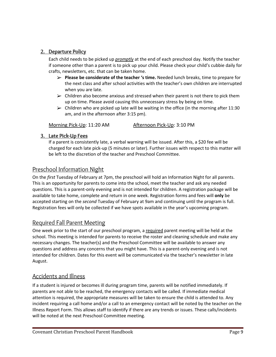#### **2. Departure Policy**

Each child needs to be picked up *promptly* at the end of each preschool day. Notify the teacher if someone other than a parent is to pick up your child. Please check your child's cubbie daily for crafts, newsletters, etc. that can be taken home.

- ➢ **Please be considerate of the teacher 's time.** Needed lunch breaks, time to prepare for the next class and after school activities with the teacher's own children are interrupted when you are late.
- $\triangleright$  Children also become anxious and stressed when their parent is not there to pick them up on time. Please avoid causing this unnecessary stress by being on time.
- $\triangleright$  Children who are picked up late will be waiting in the office (in the morning after 11:30 am, and in the afternoon after 3:15 pm).

Morning Pick-Up: 11:20 AM Afternoon Pick-Up: 3:10 PM

#### **3. Late Pick-Up Fees**

If a parent is consistently late, a verbal warning will be issued. After this, a \$20 fee will be charged for each late pick-up (5 minutes or later). Further issues with respect to this matter will be left to the discretion of the teacher and Preschool Committee.

#### Preschool Information Night

On the *first* Tuesday of February at 7pm, the preschool will hold an Information Night for all parents. This is an opportunity for parents to come into the school, meet the teacher and ask any needed questions. This is a parent-only evening and is not intended for children. A registration package will be available to take home, complete and return in one week. Registration forms and fees will **only** be accepted starting on the *second* Tuesday of February at 9am and continuing until the program is full. Registration fees will only be collected if we have spots available in the year's upcoming program.

#### Required Fall Parent Meeting

One week prior to the start of our preschool program, a required parent meeting will be held at the school. This meeting is intended for parents to receive the roster and cleaning schedule and make any necessary changes. The teacher(s) and the Preschool Committee will be available to answer any questions and address any concerns that you might have. This is a parent-only evening and is not intended for children. Dates for this event will be communicated via the teacher's newsletter in late August.

#### Accidents and Illness

If a student is injured or becomes ill during program time, parents will be notified immediately. If parents are not able to be reached, the emergency contacts will be called. If immediate medical attention is required, the appropriate measures will be taken to ensure the child is attended to. Any incident requiring a call home and/or a call to an emergency contact will be noted by the teacher on the Illness Report Form. This allows staff to identify if there are any trends or issues. These calls/incidents will be noted at the next Preschool Committee meeting.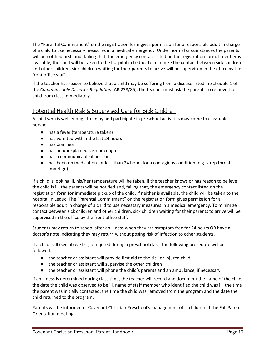The "Parental Commitment" on the registration form gives permission for a responsible adult in charge of a child to use necessary measures in a medical emergency. Under normal circumstances the parents will be notified first, and, failing that, the emergency contact listed on the registration form. If neither is available, the child will be taken to the hospital in Leduc. To minimize the contact between sick children and other children, sick children waiting for their parents to arrive will be supervised in the office by the front office staff.

If the teacher has reason to believe that a child may be suffering from a disease listed in Schedule 1 of the *Communicable Diseases Regulation* (AR 238/85), the teacher must ask the parents to remove the child from class immediately.

#### Potential Health Risk & Supervised Care for Sick Children

A child who is well enough to enjoy and participate in preschool activities may come to class unless he/she

- has a fever (temperature taken)
- has vomited within the last 24 hours
- has diarrhea
- has an unexplained rash or cough
- has a communicable illness or
- has been on medication for less than 24 hours for a contagious condition (e.g. strep throat, impetigo)

If a child is looking ill, his/her temperature will be taken. If the teacher knows or has reason to believe the child is ill, the parents will be notified and, failing that, the emergency contact listed on the registration form for immediate pickup of the child. If neither is available, the child will be taken to the hospital in Leduc. The "Parental Commitment" on the registration form gives permission for a responsible adult in charge of a child to use necessary measures in a medical emergency. To minimize contact between sick children and other children, sick children waiting for their parents to arrive will be supervised in the office by the front office staff.

Students may return to school after an illness when they are symptom free for 24 hours OR have a doctor's note indicating they may return without posing risk of infection to other students.

If a child is ill (see above list) or injured during a preschool class, the following procedure will be followed:

- the teacher or assistant will provide first aid to the sick or injured child,
- the teacher or assistant will supervise the other children
- the teacher or assistant will phone the child's parents and an ambulance, if necessary

If an illness is determined during class time, the teacher will record and document the name of the child, the date the child was observed to be ill, name of staff member who identified the child was ill, the time the parent was initially contacted, the time the child was removed from the program and the date the child returned to the program.

Parents will be informed of Covenant Christian Preschool's management of ill children at the Fall Parent Orientation meeting.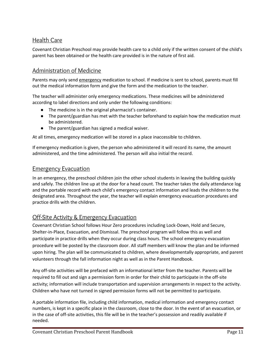#### Health Care

Covenant Christian Preschool may provide health care to a child only if the written consent of the child's parent has been obtained or the health care provided is in the nature of first aid.

#### Administration of Medicine

Parents may only send emergency medication to school. If medicine is sent to school, parents must fill out the medical information form and give the form and the medication to the teacher.

The teacher will administer only emergency medications. These medicines will be administered according to label directions and only under the following conditions:

- The medicine is in the original pharmacist's container.
- The parent/guardian has met with the teacher beforehand to explain how the medication must be administered.
- The parent/guardian has signed a medical waiver.

At all times, emergency medication will be stored in a place inaccessible to children.

If emergency medication is given, the person who administered it will record its name, the amount administered, and the time administered. The person will also initial the record.

#### Emergency Evacuation

In an emergency, the preschool children join the other school students in leaving the building quickly and safely. The children line up at the door for a head count. The teacher takes the daily attendance log and the portable record with each child's emergency contact information and leads the children to the designated area. Throughout the year, the teacher will explain emergency evacuation procedures and practice drills with the children.

#### Off-Site Activity & Emergency Evacuation

Covenant Christian School follows Hour Zero procedures including Lock-Down, Hold and Secure, Shelter-in-Place, Evacuation, and Dismissal. The preschool program will follow this as well and participate in practice drills when they occur during class hours. The school emergency evacuation procedure will be posted by the classroom door. All staff members will know the plan and be informed upon hiring. The plan will be communicated to children, where developmentally appropriate, and parent volunteers through the fall information night as well as in the Parent Handbook.

Any off-site activities will be prefaced with an informational letter from the teacher. Parents will be required to fill out and sign a permission form in order for their child to participate in the off-site activity; information will include transportation and supervision arrangements in respect to the activity. Children who have not turned in signed permission forms will not be permitted to participate.

A portable information file, including child information, medical information and emergency contact numbers, is kept in a specific place in the classroom, close to the door. In the event of an evacuation, or in the case of off-site activities, this file will be in the teacher's possession and readily available if needed.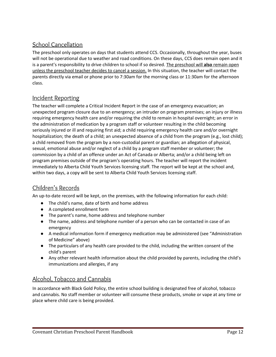#### School Cancellation

The preschool only operates on days that students attend CCS. Occasionally, throughout the year, buses will not be operational due to weather and road conditions. On these days, CCS does remain open and it is a parent's responsibility to drive children to school if so desired. The preschool will **also** remain open unless the preschool teacher decides to cancel a session. In this situation, the teacher will contact the parents directly via email or phone prior to 7:30am for the morning class or 11:30am for the afternoon class.

#### Incident Reporting

The teacher will complete a Critical Incident Report in the case of an emergency evacuation; an unexpected program closure due to an emergency; an intruder on program premises; an injury or illness requiring emergency health care and/or requiring the child to remain in hospital overnight; an error in the administration of medication by a program staff or volunteer resulting in the child becoming seriously injured or ill and requiring first aid; a child requiring emergency health care and/or overnight hospitalization; the death of a child; an unexpected absence of a child from the program (e.g., lost child); a child removed from the program by a non-custodial parent or guardian; an allegation of physical, sexual, emotional abuse and/or neglect of a child by a program staff member or volunteer; the commission by a child of an offence under an Act of Canada or Alberta; and/or a child being left on program premises outside of the program's operating hours. The teacher will report the incident immediately to Alberta Child Youth Services licensing staff. The report will be kept at the school and, within two days, a copy will be sent to Alberta Child Youth Services licensing staff.

#### Children's Records

An up-to-date record will be kept, on the premises, with the following information for each child:

- The child's name, date of birth and home address
- A completed enrollment form
- The parent's name, home address and telephone number
- The name, address and telephone number of a person who can be contacted in case of an emergency
- A medical information form if emergency medication may be administered (see "Administration of Medicine" above)
- The particulars of any health care provided to the child, including the written consent of the child's parent
- Any other relevant health information about the child provided by parents, including the child's immunizations and allergies, if any

#### Alcohol, Tobacco and Cannabis

In accordance with Black Gold Policy, the entire school building is designated free of alcohol, tobacco and cannabis. No staff member or volunteer will consume these products, smoke or vape at any time or place where child care is being provided.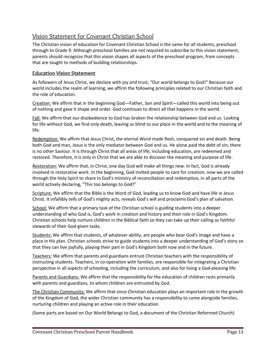#### Vision Statement for Covenant Christian School

The Christian vision of education for Covenant Christian School is the same for all students, preschool through to Grade 9. Although preschool families are not required to subscribe to this vision statement, parents should recognize that this vision shapes all aspects of the preschool program, from concepts that are taught to methods of building relationships.

#### **Education Vision Statement**

As followers of Jesus Christ, we declare with joy and trust, "Our world belongs to God!" Because our world includes the realm of learning, we affirm the following principles related to our Christian faith and the role of education.

Creation: We affirm that in the beginning God—Father, Son and Spirit—called this world into being out of nothing and gave it shape and order. God continues to direct all that happens in the world.

**Fall:** We affirm that our disobedience to God has broken the relationship between God and us. Looking for life without God, we find only death, leaving us blind to our place in the world and to the meaning of life.

Redemption: We affirm that Jesus Christ, the eternal Word made flesh, conquered sin and death. Being both God and man, Jesus is the only mediator between God and us. He alone paid the debt of sin; there is no other Saviour. It is through Christ that all areas of life, including education, are redeemed and restored. Therefore, it is only in Christ that we are able to discover the meaning and purpose of life.

Restoration: We affirm that, in Christ, one day God will make all things new. In fact, God is already involved in restorative work. In the beginning, God invited people to care for creation; now we are called through the Holy Spirit to share in God's ministry of reconciliation and redemption, in all parts of the world actively declaring, "This too belongs to God!"

Scripture: We affirm that the Bible is the Word of God, leading us to know God and have life in Jesus Christ. It infallibly tells of God's mighty acts, reveals God's will and proclaims God's plan of salvation.

School: We affirm that a primary task of the Christian school is guiding students into a deeper understanding of who God is, God's work in creation and history and their role in God's Kingdom. Christian schools help nurture children in the Biblical faith so they can take up their calling as faithful stewards of their God-given tasks.

Students: We affirm that students, of whatever ability, are people who bear God's image and have a place in His plan. Christian schools strive to guide students into a deeper understanding of God's story so that they can live joyfully, playing their part in God's Kingdom both now and in the future.

Teachers: We affirm that parents and guardians entrust Christian teachers with the responsibility of instructing students. Teachers, in co-operation with families, are responsible for integrating a Christian perspective in all aspects of schooling, including the curriculum, and also for living a God-pleasing life.

Parents and Guardians: We affirm that the responsibility for the education of children rests primarily with parents and guardians, to whom children are entrusted by God.

The Christian Community: We affirm that since Christian education plays an important role in the growth of the Kingdom of God, the wider Christian community has a responsibility to come alongside families, nurturing children and playing an active role in their education.

(Some parts are based on Our World Belongs to God, a document of the Christian Reformed Church)